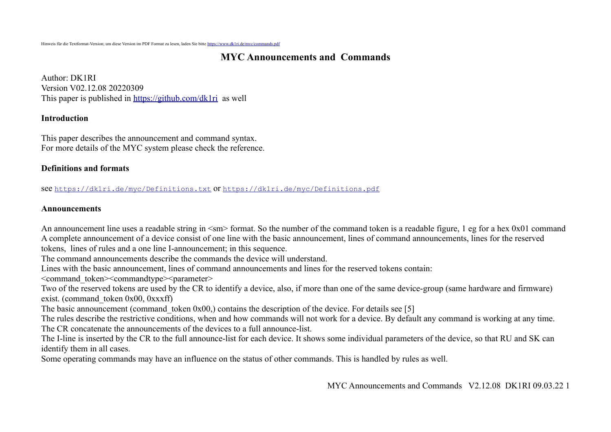## **MYC Announcements and Commands**

Author: DK1RI Version V02.12.08 20220309 This paper is published in <https://github.com/dk1ri> as well

#### **Introduction**

This paper describes the announcement and command syntax. For more details of the MYC system please check the reference.

#### **Definitions and formats**

see <https://dk1ri.de/myc/Definitions.txt> or <https://dk1ri.de/myc/Definitions.pdf>

#### **Announcements**

An announcement line uses a readable string in  $\langle sm \rangle$  format. So the number of the command token is a readable figure, 1 eg for a hex 0x01 command A complete announcement of a device consist of one line with the basic announcement, lines of command announcements, lines for the reserved tokens, lines of rules and a one line I-announcement; in this sequence.

The command announcements describe the commands the device will understand.

Lines with the basic announcement, lines of command announcements and lines for the reserved tokens contain:

<command\_token><commandtype><parameter>

Two of the reserved tokens are used by the CR to identify a device, also, if more than one of the same device-group (same hardware and firmware) exist. (command\_token 0x00, 0xxxff)

The basic announcement (command token  $0x00$ ,) contains the description of the device. For details see [5]

The rules describe the restrictive conditions, when and how commands will not work for a device. By default any command is working at any time. The CR concatenate the announcements of the devices to a full announce-list.

The I-line is inserted by the CR to the full announce-list for each device. It shows some individual parameters of the device, so that RU and SK can identify them in all cases.

Some operating commands may have an influence on the status of other commands. This is handled by rules as well.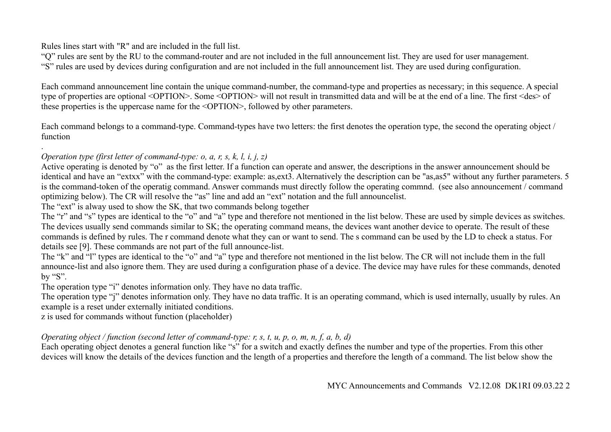Rules lines start with "R" and are included in the full list.

"Q" rules are sent by the RU to the command-router and are not included in the full announcement list. They are used for user management. "S" rules are used by devices during configuration and are not included in the full announcement list. They are used during configuration.

Each command announcement line contain the unique command-number, the command-type and properties as necessary; in this sequence. A special type of properties are optional <OPTION>. Some <OPTION> will not result in transmitted data and will be at the end of a line. The first <des> of these properties is the uppercase name for the <OPTION>, followed by other parameters.

Each command belongs to a command-type. Command-types have two letters: the first denotes the operation type, the second the operating object / function

#### . *Operation type (first letter of command-type: o, a, r, s, k, l, i, j, z)*

Active operating is denoted by "o" as the first letter. If a function can operate and answer, the descriptions in the answer announcement should be identical and have an "extxx" with the command-type: example: as,ext3. Alternatively the description can be "as,as5" without any further parameters. 5 is the command-token of the operatig command. Answer commands must directly follow the operating commnd. (see also announcement / command optimizing below). The CR will resolve the "as" line and add an "ext" notation and the full announcelist.

The "ext" is alway used to show the SK, that two commands belong together

The "r" and "s" types are identical to the "o" and "a" type and therefore not mentioned in the list below. These are used by simple devices as switches. The devices usually send commands similar to SK; the operating command means, the devices want another device to operate. The result of these commands is defined by rules. The r command denote what they can or want to send. The s command can be used by the LD to check a status. For details see [9]. These commands are not part of the full announce-list.

The "k" and "l" types are identical to the "o" and "a" type and therefore not mentioned in the list below. The CR will not include them in the full announce-list and also ignore them. They are used during a configuration phase of a device. The device may have rules for these commands, denoted by "S".

The operation type "i" denotes information only. They have no data traffic.

The operation type "j" denotes information only. They have no data traffic. It is an operating command, which is used internally, usually by rules. An example is a reset under externally initiated conditions.

z is used for commands without function (placeholder)

## *Operating object / function (second letter of command-type: r, s, t, u, p, o, m, n, f, a, b, d)*

Each operating object denotes a general function like "s" for a switch and exactly defines the number and type of the properties. From this other devices will know the details of the devices function and the length of a properties and therefore the length of a command. The list below show the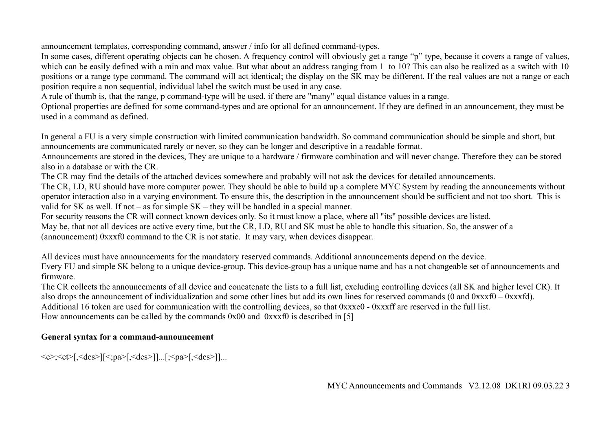announcement templates, corresponding command, answer / info for all defined command-types.

In some cases, different operating objects can be chosen. A frequency control will obviously get a range "p" type, because it covers a range of values, which can be easily defined with a min and max value. But what about an address ranging from 1 to 10? This can also be realized as a switch with 10 positions or a range type command. The command will act identical; the display on the SK may be different. If the real values are not a range or each position require a non sequential, individual label the switch must be used in any case.

A rule of thumb is, that the range, p command-type will be used, if there are "many" equal distance values in a range.

Optional properties are defined for some command-types and are optional for an announcement. If they are defined in an announcement, they must be used in a command as defined.

In general a FU is a very simple construction with limited communication bandwidth. So command communication should be simple and short, but announcements are communicated rarely or never, so they can be longer and descriptive in a readable format.

Announcements are stored in the devices, They are unique to a hardware / firmware combination and will never change. Therefore they can be stored also in a database or with the CR.

The CR may find the details of the attached devices somewhere and probably will not ask the devices for detailed announcements.

The CR, LD, RU should have more computer power. They should be able to build up a complete MYC System by reading the announcements without operator interaction also in a varying environment. To ensure this, the description in the announcement should be sufficient and not too short. This is valid for SK as well. If not – as for simple SK – they will be handled in a special manner.

For security reasons the CR will connect known devices only. So it must know a place, where all "its" possible devices are listed. May be, that not all devices are active every time, but the CR, LD, RU and SK must be able to handle this situation. So, the answer of a (announcement) 0xxxf0 command to the CR is not static. It may vary, when devices disappear.

All devices must have announcements for the mandatory reserved commands. Additional announcements depend on the device. Every FU and simple SK belong to a unique device-group. This device-group has a unique name and has a not changeable set of announcements and firmware.

The CR collects the announcements of all device and concatenate the lists to a full list, excluding controlling devices (all SK and higher level CR). It also drops the announcement of individualization and some other lines but add its own lines for reserved commands (0 and 0xxxf0 – 0xxxfd). Additional 16 token are used for communication with the controlling devices, so that 0xxxe0 - 0xxxff are reserved in the full list. How announcements can be called by the commands  $0x00$  and  $0xxxf0$  is described in [5]

### **General syntax for a command-announcement**

 $\langle c \rangle$ ;  $\langle ct \rangle$ [,  $\langle des \rangle$ ][ $\langle pa \rangle$ [,  $\langle des \rangle$ ]]...[;  $\langle pa \rangle$ [,  $\langle des \rangle$ ]]...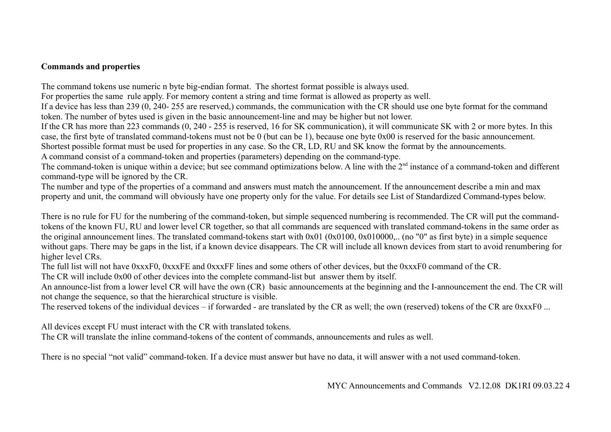## **Commands and properties**

The command tokens use numeric n byte big-endian format. The shortest format possible is always used.

For properties the same rule apply. For memory content a string and time format is allowed as property as well.

If a device has less than 239 (0, 240- 255 are reserved,) commands, the communication with the CR should use one byte format for the command token. The number of bytes used is given in the basic announcement-line and may be higher but not lower.

If the CR has more than 223 commands (0, 240 - 255 is reserved, 16 for SK communication), it will communicate SK with 2 or more bytes. In this case, the first byte of translated command-tokens must not be 0 (but can be 1), because one byte 0x00 is reserved for the basic announcement.

Shortest possible format must be used for properties in any case. So the CR, LD, RU and SK know the format by the announcements.

A command consist of a command-token and properties (parameters) depending on the command-type.

The command-token is unique within a device; but see command optimizations below. A line with the 2<sup>nd</sup> instance of a command-token and different command-type will be ignored by the CR.

The number and type of the properties of a command and answers must match the announcement. If the announcement describe a min and max property and unit, the command will obviously have one property only for the value. For details see List of Standardized Command-types below.

There is no rule for FU for the numbering of the command-token, but simple sequenced numbering is recommended. The CR will put the commandtokens of the known FU, RU and lower level CR together, so that all commands are sequenced with translated command-tokens in the same order as the original announcement lines. The translated command-tokens start with  $0x01 (0x0100, 0x010000)$ . (no "0" as first byte) in a simple sequence without gaps. There may be gaps in the list, if a known device disappears. The CR will include all known devices from start to avoid renumbering for higher level CRs.

The full list will not have 0xxxF0, 0xxxFE and 0xxxFF lines and some others of other devices, but the 0xxxF0 command of the CR.

The CR will include 0x00 of other devices into the complete command-list but answer them by itself.

An announce-list from a lower level CR will have the own (CR) basic announcements at the beginning and the I-announcement the end. The CR will not change the sequence, so that the hierarchical structure is visible.

The reserved tokens of the individual devices – if forwarded - are translated by the CR as well; the own (reserved) tokens of the CR are 0xxxF0 ...

All devices except FU must interact with the CR with translated tokens.

The CR will translate the inline command-tokens of the content of commands, announcements and rules as well.

There is no special "not valid" command-token. If a device must answer but have no data, it will answer with a not used command-token.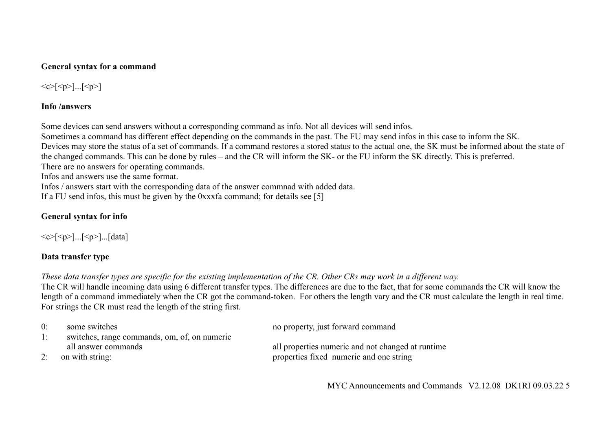### **General syntax for a command**

# $\langle c \rangle$ [ $\langle p \rangle$ ]...[ $\langle p \rangle$ ]

## **Info /answers**

Some devices can send answers without a corresponding command as info. Not all devices will send infos.

Sometimes a command has different effect depending on the commands in the past. The FU may send infos in this case to inform the SK.

Devices may store the status of a set of commands. If a command restores a stored status to the actual one, the SK must be informed about the state of the changed commands. This can be done by rules – and the CR will inform the SK- or the FU inform the SK directly. This is preferred.

There are no answers for operating commands.

Infos and answers use the same format.

Infos / answers start with the corresponding data of the answer commnad with added data.

If a FU send infos, this must be given by the 0xxxfa command; for details see [5]

# **General syntax for info**

 $\langle c > | \langle p > | ... | \langle p \rangle | ... |$ data]

# **Data transfer type**

*These data transfer types are specific for the existing implementation of the CR. Other CRs may work in a different way.*

The CR will handle incoming data using 6 different transfer types. The differences are due to the fact, that for some commands the CR will know the length of a command immediately when the CR got the command-token. For others the length vary and the CR must calculate the length in real time. For strings the CR must read the length of the string first.

| 0: | some switches                                | no property, just forward command                 |
|----|----------------------------------------------|---------------------------------------------------|
|    | switches, range commands, om, of, on numeric |                                                   |
|    | all answer commands                          | all properties numeric and not changed at runtime |
|    | 2: on with string:                           | properties fixed numeric and one string           |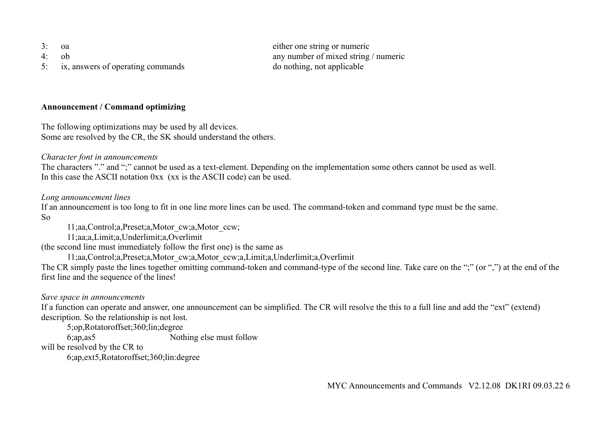- 
- 
- 5: ix, answers of operating commands do nothing, not applicable

3: oa either one string or numeric 4: ob any number of mixed string / numeric

### **Announcement / Command optimizing**

The following optimizations may be used by all devices. Some are resolved by the CR, the SK should understand the others.

*Character font in announcements*

The characters "." and ";" cannot be used as a text-element. Depending on the implementation some others cannot be used as well. In this case the ASCII notation 0xx (xx is the ASCII code) can be used.

## *Long announcement lines*

If an announcement is too long to fit in one line more lines can be used. The command-token and command type must be the same. So

11;aa,Control;a,Preset;a,Motor\_cw;a,Motor\_ccw;

11;aa;a,Limit;a,Underlimit;a,Overlimit

(the second line must immediately follow the first one) is the same as

11;aa,Control;a,Preset;a,Motor\_cw;a,Motor\_ccw;a,Limit;a,Underlimit;a,Overlimit

The CR simply paste the lines together omitting command-token and command-type of the second line. Take care on the ";" (or ",") at the end of the first line and the sequence of the lines!

## *Save space in announcements*

If a function can operate and answer, one announcement can be simplified. The CR will resolve the this to a full line and add the "ext" (extend) description. So the relationship is not lost.

5;op,Rotatoroffset;360;lin;degree

6;ap,as5 Nothing else must follow

# will be resolved by the CR to

6;ap,ext5,Rotatoroffset;360;lin:degree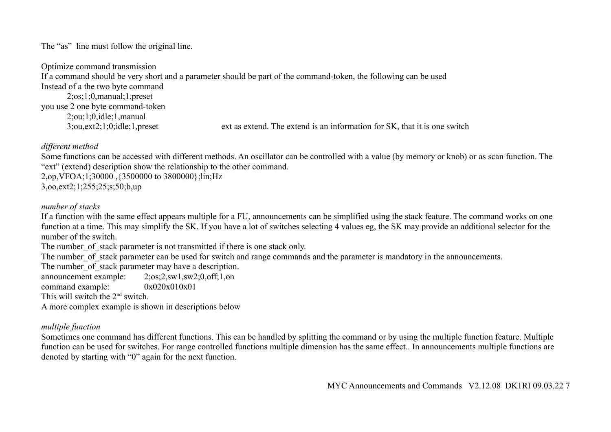The "as" line must follow the original line.

Optimize command transmission If a command should be very short and a parameter should be part of the command-token, the following can be used Instead of a the two byte command 2;os;1;0,manual;1,preset you use 2 one byte command-token 2;ou;1;0,idle;1,manual 3;ou,ext2;1;0;idle;1,preset ext as extend. The extend is an information for SK, that it is one switch

## *different method*

Some functions can be accessed with different methods. An oscillator can be controlled with a value (by memory or knob) or as scan function. The "ext" (extend) description show the relationship to the other command.

2,op,VFOA;1;30000 ,{3500000 to 3800000};lin;Hz 3,oo,ext2;1;255;25;s;50;b,up

*number of stacks*

If a function with the same effect appears multiple for a FU, announcements can be simplified using the stack feature. The command works on one function at a time. This may simplify the SK. If you have a lot of switches selecting 4 values eg, the SK may provide an additional selector for the number of the switch.

The number of stack parameter is not transmitted if there is one stack only.

The number of stack parameter can be used for switch and range commands and the parameter is mandatory in the announcements.

The number of stack parameter may have a description.

announcement example: 2;os;2,sw1,sw2;0,off;1,on command example: 0x020x010x01 This will switch the 2<sup>nd</sup> switch.

A more complex example is shown in descriptions below

## *multiple function*

Sometimes one command has different functions. This can be handled by splitting the command or by using the multiple function feature. Multiple function can be used for switches. For range controlled functions multiple dimension has the same effect.. In announcements multiple functions are denoted by starting with "0" again for the next function.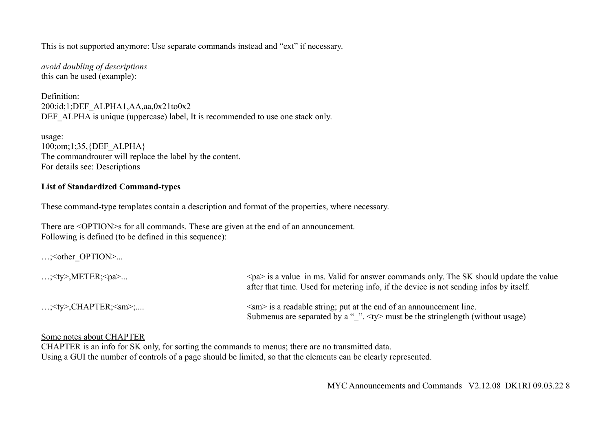This is not supported anymore: Use separate commands instead and "ext" if necessary.

*avoid doubling of descriptions* this can be used (example):

Definition: 200:id;1;DEF\_ALPHA1,AA,aa,0x21to0x2 DEF ALPHA is unique (uppercase) label. It is recommended to use one stack only.

usage: 100;om;1;35,{DEF\_ALPHA} The commandrouter will replace the label by the content. For details see: Descriptions

### **List of Standardized Command-types**

These command-type templates contain a description and format of the properties, where necessary.

There are <OPTION>s for all commands. These are given at the end of an announcement. Following is defined (to be defined in this sequence):

…;<other\_OPTION>...

| ; $\lt$ ty>,METER; $\lt$ pa>    | $\langle p \rangle$ is a value in ms. Valid for answer commands only. The SK should update the value<br>after that time. Used for metering info, if the device is not sending infos by itself. |
|---------------------------------|------------------------------------------------------------------------------------------------------------------------------------------------------------------------------------------------|
| ; $\lt$ ty>,CHAPTER; $\lt$ sm>; | $\langle \text{sm} \rangle$ is a readable string; put at the end of an announcement line.<br>Submenus are separated by a " ". $\langle ty \rangle$ must be the stringlength (without usage)    |

#### Some notes about CHAPTER

CHAPTER is an info for SK only, for sorting the commands to menus; there are no transmitted data. Using a GUI the number of controls of a page should be limited, so that the elements can be clearly represented.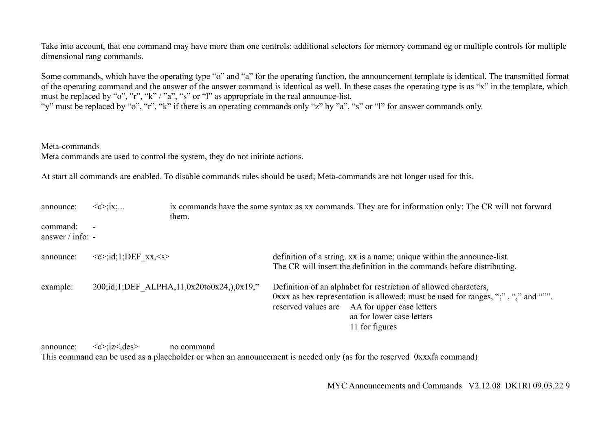Take into account, that one command may have more than one controls: additional selectors for memory command eg or multiple controls for multiple dimensional rang commands.

Some commands, which have the operating type "o" and "a" for the operating function, the announcement template is identical. The transmitted format of the operating command and the answer of the answer command is identical as well. In these cases the operating type is as "x" in the template, which must be replaced by "o", "r", "k" / "a", "s" or "l" as appropriate in the real announce-list.

"y" must be replaced by "o", "r", "k" if there is an operating commands only "z" by "a", "s" or "l" for answer commands only.

#### Meta-commands

Meta commands are used to control the system, they do not initiate actions.

At start all commands are enabled. To disable commands rules should be used; Meta-commands are not longer used for this.

| announce:                      | $\langle c \rangle$ : ix;                             | them.                                     | ix commands have the same syntax as xx commands. They are for information only: The CR will not forward                                                                                                                                                  |
|--------------------------------|-------------------------------------------------------|-------------------------------------------|----------------------------------------------------------------------------------------------------------------------------------------------------------------------------------------------------------------------------------------------------------|
| command:<br>answer $/$ info: - |                                                       |                                           |                                                                                                                                                                                                                                                          |
| announce:                      | $\langle c \rangle$ ;id;1;DEF xx, $\langle s \rangle$ |                                           | definition of a string. xx is a name; unique within the announce-list.<br>The CR will insert the definition in the commands before distributing.                                                                                                         |
| example:                       |                                                       | 200;id;1;DEF ALPHA,11,0x20to0x24,),0x19," | Definition of an alphabet for restriction of allowed characters,<br>$0$ xxx as hex representation is allowed; must be used for ranges, ";", "," and """.<br>reserved values are AA for upper case letters<br>aa for lower case letters<br>11 for figures |

announce:  $\langle c \rangle$ ; iz $\langle des \rangle$  no command This command can be used as a placeholder or when an announcement is needed only (as for the reserved 0xxxfa command)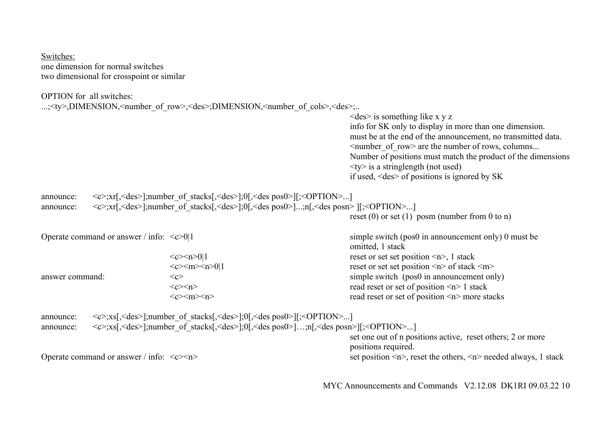Switches: one dimension for normal switches two dimensional for crosspoint or similar

OPTION for all switches: ...;<ty>,DIMENSION,<number\_of\_row>,<des>;DIMENSION,<number\_of\_cols>,<des>;...  $\langle$  des $>$  is something like x y z info for SK only to display in more than one dimension. must be at the end of the announcement, no transmitted data.  $\le$ number of row $\ge$  are the number of rows, columns... Number of positions must match the product of the dimensions  $\langle$ ty> is a stringlength (not used) if used, <des> of positions is ignored by SK announce:  $\langle c \rangle$ ;xr[, $\langle des \rangle$ ];number of stacks[, $\langle des \rangle$ ]; $\langle des \rangle$ pos0>][; $\langle OPTION \rangle$ ...] announce:  $\langle c \rangle$ ;xr[, $\langle des \rangle$ ];number of stacks[, $\langle des \rangle$ ];0[, $\langle des \rangle$ ];n[, $\langle des \rangle$ ][; $\langle OPTION \rangle$ ...] reset  $(0)$  or set  $(1)$  posm (number from 0 to n) Operate command or answer / info:  $\langle c \rangle 0|1$  simple switch (pos0 in announcement only) 0 must be omitted, 1 stack  $\langle \cos \theta | 1$  reset or set set position  $\langle n \rangle$ , 1 stack  $\langle \cos \theta |$  reset or set set position  $\langle n \rangle$  of stack  $\langle m \rangle$ answer command:  $\langle c \rangle$   $\langle s \rangle$  $\langle c \rangle \langle n \rangle$  read reset or set of position  $\langle n \rangle$  1 stack  $\langle c \rangle \langle m \rangle \langle n \rangle$  read reset or set of position  $\langle n \rangle$  more stacks announce:  $\langle c \rangle$ ;xs[, $\langle des \rangle$ ];number of stacks[, $\langle des \rangle$ ]; $\langle des \rangle$ pos0>][; $\langle OPTION \rangle$ ...]

announce:  $\langle c \rangle$ ;xs[, $\langle des \rangle$ ];number of stacks[, $\langle des \rangle$ ];0[, $\langle des \rangle$ ];0[, $\langle des \rangle$ ],...;n[, $\langle des \rangle$ ][; $\langle OPTION \rangle$ ...] set one out of n positions active, reset others; 2 or more positions required. Operate command or answer / info:  $\langle c \rangle \langle n \rangle$  set position  $\langle n \rangle$ , reset the others,  $\langle n \rangle$  needed always, 1 stack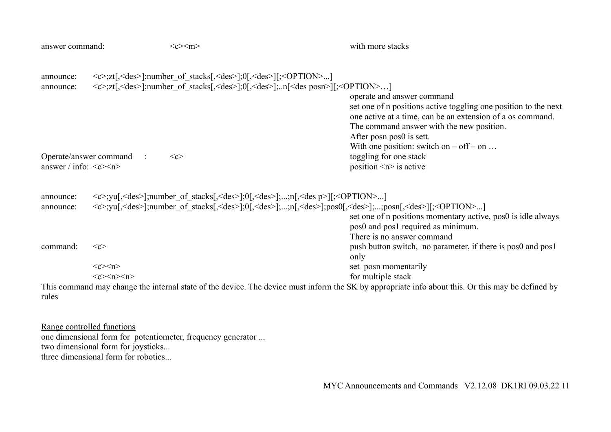|                                                                                                       | $\langle c \rangle \langle m \rangle$ | with more stacks                                                                                                                                                                                                                                                                                                                                                                                                                                                                                                                                                                                                                                        |
|-------------------------------------------------------------------------------------------------------|---------------------------------------|---------------------------------------------------------------------------------------------------------------------------------------------------------------------------------------------------------------------------------------------------------------------------------------------------------------------------------------------------------------------------------------------------------------------------------------------------------------------------------------------------------------------------------------------------------------------------------------------------------------------------------------------------------|
|                                                                                                       |                                       |                                                                                                                                                                                                                                                                                                                                                                                                                                                                                                                                                                                                                                                         |
|                                                                                                       |                                       | operate and answer command<br>set one of n positions active toggling one position to the next<br>one active at a time, can be an extension of a os command.<br>The command answer with the new position.<br>After posn pos0 is sett.<br>With one position: switch on $-$ off $-$ on $\ldots$                                                                                                                                                                                                                                                                                                                                                            |
| Operate/answer command<br>$\langle c \rangle$<br>answer / info: $\langle c \rangle \langle n \rangle$ |                                       | toggling for one stack<br>position $\leq n$ is active                                                                                                                                                                                                                                                                                                                                                                                                                                                                                                                                                                                                   |
|                                                                                                       |                                       | set one of n positions momentary active, pos0 is idle always                                                                                                                                                                                                                                                                                                                                                                                                                                                                                                                                                                                            |
| $\langle c \rangle$<br>$\langle c \rangle \langle n \rangle$                                          |                                       | pos0 and pos1 required as minimum.<br>There is no answer command<br>push button switch, no parameter, if there is pos0 and pos1<br>only<br>set posn momentarily                                                                                                                                                                                                                                                                                                                                                                                                                                                                                         |
| $\langle c \rangle \langle n \rangle \langle n \rangle$                                               |                                       | for multiple stack                                                                                                                                                                                                                                                                                                                                                                                                                                                                                                                                                                                                                                      |
|                                                                                                       |                                       |                                                                                                                                                                                                                                                                                                                                                                                                                                                                                                                                                                                                                                                         |
|                                                                                                       | answer command:                       | <c>;zt[,<des>];number of stacks[,<des>];0[,<des>][;<option>]<br/><c>;zt[,<des>];number_of_stacks[,<des>];0[,<des>];.n[<des posn="">][;<option>]<br/><c>;yu[,<des>];number of stacks[,<des>];0[,<des>];;n[,<des p="">][;<option>]<br/><c>;yu[,<des>];number of stacks[,<des>];0[,<des>];;n[,<des>];pos0[,<des>];;posn[,<des>][;<option>]<br/>This command may change the internal state of the device. The device must inform the SK by appropriate info about this. Or this may be defined by</option></des></des></des></des></des></des></c></option></des></des></des></des></c></option></des></des></des></des></c></option></des></des></des></c> |

Range controlled functions one dimensional form for potentiometer, frequency generator ... two dimensional form for joysticks... three dimensional form for robotics...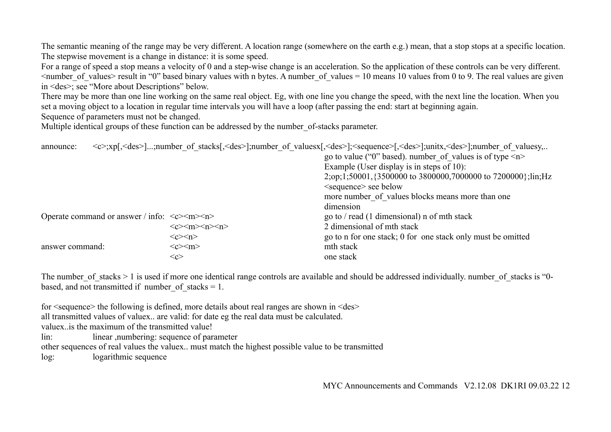The semantic meaning of the range may be very different. A location range (somewhere on the earth e.g.) mean, that a stop stops at a specific location. The stepwise movement is a change in distance: it is some speed.

For a range of speed a stop means a velocity of 0 and a step-wise change is an acceleration. So the application of these controls can be very different.  $\le$ number of values> result in "0" based binary values with n bytes. A number of values = 10 means 10 values from 0 to 9. The real values are given in <des>; see "More about Descriptions" below.

There may be more than one line working on the same real object. Eg, with one line you change the speed, with the next line the location. When you set a moving object to a location in regular time intervals you will have a loop (after passing the end: start at beginning again.

Sequence of parameters must not be changed.

Multiple identical groups of these function can be addressed by the number of-stacks parameter.

| announce:                                                                                 |                                                                           | <c>;xp[,<des>];number of stacks[,<des>];number of valuesx[,<des>];<sequence>[,<des>];unitx,<des>];number of valuesy,</des></des></sequence></des></des></des></c> |
|-------------------------------------------------------------------------------------------|---------------------------------------------------------------------------|-------------------------------------------------------------------------------------------------------------------------------------------------------------------|
|                                                                                           |                                                                           | go to value ("0" based). number of values is of type $\leq n$                                                                                                     |
|                                                                                           |                                                                           | Example (User display is in steps of 10):                                                                                                                         |
|                                                                                           |                                                                           | $2;op;1;50001,$ {3500000 to 3800000,7000000 to 7200000 {;lin;Hz                                                                                                   |
|                                                                                           |                                                                           | <sequence> see below</sequence>                                                                                                                                   |
|                                                                                           |                                                                           | more number of values blocks means more than one                                                                                                                  |
|                                                                                           |                                                                           | dimension                                                                                                                                                         |
| Operate command or answer / info: $\langle c \rangle \langle m \rangle \langle n \rangle$ |                                                                           | go to $/$ read (1 dimensional) n of mth stack                                                                                                                     |
|                                                                                           | $\langle c \rangle \langle m \rangle \langle n \rangle \langle n \rangle$ | 2 dimensional of mth stack                                                                                                                                        |
|                                                                                           | $\langle c \rangle \langle n \rangle$                                     | go to n for one stack; 0 for one stack only must be omitted                                                                                                       |
| answer command:                                                                           | $\langle c \rangle \langle m \rangle$                                     | mth stack                                                                                                                                                         |
|                                                                                           | $\langle c \rangle$                                                       | one stack                                                                                                                                                         |

The number of stacks > 1 is used if more one identical range controls are available and should be addressed individually. number of stacks is "0based, and not transmitted if number of stacks = 1.

for <sequence> the following is defined, more details about real ranges are shown in <des>

all transmitted values of valuex.. are valid: for date eg the real data must be calculated.

valuex..is the maximum of the transmitted value!

lin: linear ,numbering: sequence of parameter

other sequences of real values the valuex.. must match the highest possible value to be transmitted

log: logarithmic sequence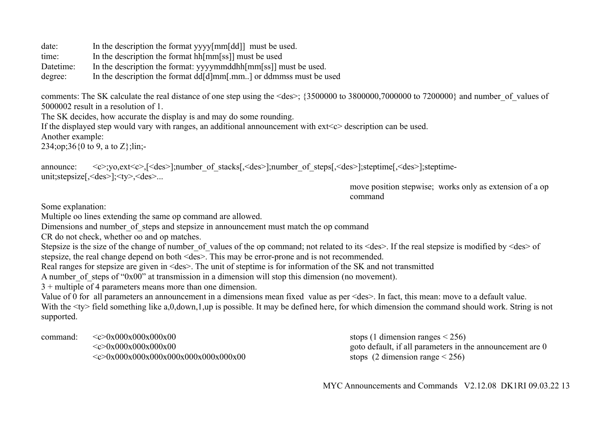date: In the description the format yyyy[mm[dd]] must be used. time: In the description the format hh[mm[ss]] must be used Datetime: In the description the format: yyvymmddhh[mm[ss]] must be used. degree: In the description the format dd[d]mm[.mm..] or ddmmss must be used

comments: The SK calculate the real distance of one step using the <des>; {3500000 to 3800000,7000000 to 7200000} and number of values of 5000002 result in a resolution of 1.

The SK decides, how accurate the display is and may do some rounding.

If the displayed step would vary with ranges, an additional announcement with ext  $\lt c$  description can be used.

Another example:

234;op;36{0 to 9, a to  $Z$ };lin;-

announce:  $\langle c \rangle$ :vo,ext $\langle c \rangle$ .[ $\langle des \rangle$ ];number\_of\_stacks[ $\langle des \rangle$ ];number\_of\_steps[ $\langle des \rangle$ ];steptime[ $\langle des \rangle$ ];steptimeunit;stepsize[,<des>];<ty>,<des>...

move position stepwise; works only as extension of a op command

Some explanation:

Multiple oo lines extending the same op command are allowed.

Dimensions and number of steps and stepsize in announcement must match the op command

CR do not check, whether oo and op matches.

Stepsize is the size of the change of number of values of the op command; not related to its  $\langle des \rangle$ . If the real stepsize is modified by  $\langle des \rangle$  of stepsize, the real change depend on both <des>. This may be error-prone and is not recommended.

Real ranges for stepsize are given in <des>. The unit of steptime is for information of the SK and not transmitted

A number of steps of "0x00" at transmission in a dimension will stop this dimension (no movement).

3 + multiple of 4 parameters means more than one dimension.

Value of 0 for all parameters an announcement in a dimensions mean fixed value as per <des>. In fact, this mean: move to a default value. With the  $\langle \text{tv}\rangle$  field something like a,0,down,1,up is possible. It may be defined here, for which dimension the command should work. String is not supported.

command:  $\langle c\rangle 0x000x000x000x00$  $\langle \langle \xi \rangle 0 \rangle = 0 \times 0.000 \times 0.00 \times 0.00 \times 0.00 \times 0.00 \times 0.00 \times 0.00 \times 0.00 \times 0.00 \times 0.00 \times 0.00 \times 0.00 \times 0.00 \times 0.00 \times 0.00 \times 0.00 \times 0.00 \times 0.00 \times 0.00 \times 0.00 \times 0.00 \times 0.00 \times 0.00 \times 0.00 \times 0.00 \times 0.00 \times 0.00 \times 0.00 \times 0.00 \$ 

 $\langle \cos 0.000 \times 0.000 \times 0.000 \times 0.000 \times 0.000 \times 0.000 \times 0.000 \times 0.000 \times 0.000 \times 0.000 \times 0.000 \times 0.000 \times 0.000 \times 0.000 \times 0.000 \times 0.000 \times 0.000 \times 0.000 \times 0.000 \times 0.000 \times 0.000 \times 0.000 \times 0.000 \times 0.000 \times 0.000 \times 0.000 \times 0.000 \times$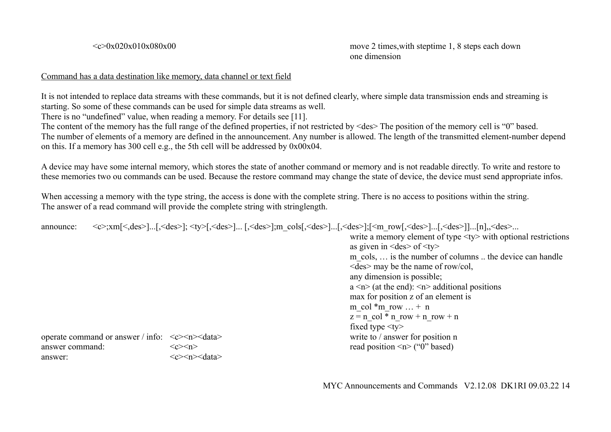$\langle \cosh 0.020 \times 0.000 \times 0.000 \rangle$  move 2 times, with steptime 1, 8 steps each down one dimension

#### Command has a data destination like memory, data channel or text field

It is not intended to replace data streams with these commands, but it is not defined clearly, where simple data transmission ends and streaming is starting. So some of these commands can be used for simple data streams as well.

There is no "undefined" value, when reading a memory. For details see [11].

The content of the memory has the full range of the defined properties, if not restricted by <des> The position of the memory cell is "0" based. The number of elements of a memory are defined in the announcement. Any number is allowed. The length of the transmitted element-number depend on this. If a memory has 300 cell e.g., the 5th cell will be addressed by 0x00x04.

A device may have some internal memory, which stores the state of another command or memory and is not readable directly. To write and restore to these memories two ou commands can be used. Because the restore command may change the state of device, the device must send appropriate infos.

When accessing a memory with the type string, the access is done with the complete string. There is no access to positions within the string. The answer of a read command will provide the complete string with stringlength.

| announce:       |                                                                    |                                                            | <c>;xm[&lt;,des&gt;][,<des>]; <ty>[,<des>] [,<des>];m cols[,<des>][,<des>];[<m row[,<des="">][,<des>][n],,<des></des></des></m></des></des></des></des></ty></des></c> |
|-----------------|--------------------------------------------------------------------|------------------------------------------------------------|------------------------------------------------------------------------------------------------------------------------------------------------------------------------|
|                 |                                                                    |                                                            | write a memory element of type $\langle \psi \rangle$ with optional restrictions                                                                                       |
|                 |                                                                    |                                                            | as given in $\langle des \rangle$ of $\langle ty \rangle$                                                                                                              |
|                 |                                                                    |                                                            | m cols,  is the number of columns  the device can handle                                                                                                               |
|                 |                                                                    |                                                            | $\langle$ des $>$ may be the name of row/col,                                                                                                                          |
|                 |                                                                    |                                                            | any dimension is possible;                                                                                                                                             |
|                 |                                                                    |                                                            | $a \le n$ (at the end): $\le n$ additional positions                                                                                                                   |
|                 |                                                                    |                                                            | max for position z of an element is                                                                                                                                    |
|                 |                                                                    |                                                            | m col $*$ m row  + n                                                                                                                                                   |
|                 |                                                                    |                                                            | $z = n \cdot col * n \cdot row + n \cdot row + n$                                                                                                                      |
|                 |                                                                    |                                                            | fixed type $\langle$ ty $>$                                                                                                                                            |
|                 | operate command or answer / info: <c><n><d>&gt;<d></d></d></n></c> |                                                            | write to $/$ answer for position n                                                                                                                                     |
| answer command: |                                                                    | $\langle c \rangle \langle n \rangle$                      | read position $\langle n \rangle$ ("0" based)                                                                                                                          |
| answer:         |                                                                    | $\langle c \rangle \langle n \rangle \langle data \rangle$ |                                                                                                                                                                        |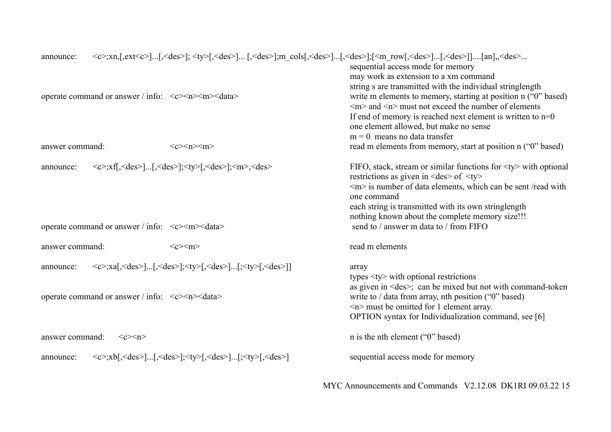| announce:                                                                                           |                                                                                                                                                                       | <c>;xn,[,ext<c>][,<des>]; <ty>[,<des>] [,<des>];m_cols[,<des>][,<des>];[<m_row[,<des>][,<des>]][an],,<des></des></des></m_row[,<des></des></des></des></des></ty></des></c></c>                                                                                                   |
|-----------------------------------------------------------------------------------------------------|-----------------------------------------------------------------------------------------------------------------------------------------------------------------------|-----------------------------------------------------------------------------------------------------------------------------------------------------------------------------------------------------------------------------------------------------------------------------------|
|                                                                                                     |                                                                                                                                                                       | sequential access mode for memory<br>may work as extension to a xm command                                                                                                                                                                                                        |
| operate command or answer / info: $\langle c \rangle \langle n \rangle \langle m \rangle$           |                                                                                                                                                                       | string s are transmitted with the individual stringlength<br>write m elements to memory, starting at position n ("0" based)<br>$\langle m \rangle$ and $\langle n \rangle$ must not exceed the number of elements<br>If end of memory is reached next element is written to $n=0$ |
|                                                                                                     |                                                                                                                                                                       | one element allowed, but make no sense<br>$m = 0$ means no data transfer                                                                                                                                                                                                          |
| answer command:                                                                                     | $\langle c \rangle \langle n \rangle \langle m \rangle$                                                                                                               | read m elements from memory, start at position n ("0" based)                                                                                                                                                                                                                      |
| announce:                                                                                           | $\langle c \rangle xff, \langle des \rangle$ [, $\langle des \rangle$ ]; $\langle ty \rangle$ [, $\langle des \rangle$ ]; $\langle m \rangle$ , $\langle des \rangle$ | FIFO, stack, stream or similar functions for $\langle ty \rangle$ with optional<br>restrictions as given in $\langle des \rangle$ of $\langle ty \rangle$<br><m> is number of data elements, which can be sent /read with<br/>one command</m>                                     |
|                                                                                                     |                                                                                                                                                                       | each string is transmitted with its own stringlength<br>nothing known about the complete memory size!!!                                                                                                                                                                           |
| operate command or answer / info: <c><m><data></data></m></c>                                       |                                                                                                                                                                       | send to / answer m data to / from FIFO                                                                                                                                                                                                                                            |
| answer command:                                                                                     | $<\infty>$ m>                                                                                                                                                         | read m elements                                                                                                                                                                                                                                                                   |
| announce:                                                                                           | <c>;xa[,<des>][,<des>];<ty>[,<des>][;<ty>[,<des>]]</des></ty></des></ty></des></des></c>                                                                              | array<br>types $\langle$ ty $\rangle$ with optional restrictions                                                                                                                                                                                                                  |
| operate command or answer / info: $\langle c \rangle \langle n \rangle \langle \text{data} \rangle$ |                                                                                                                                                                       | as given in <des>; can be mixed but not with command-token<br/>write to <math>\ell</math> data from array, nth position ("0" based)<br/><math>\leq n</math> must be omitted for 1 element array.<br/>OPTION syntax for Individualization command, see [6]</des>                   |
| answer command:<br>$\langle c \rangle \langle n \rangle$                                            |                                                                                                                                                                       | $n$ is the nth element ("0" based)                                                                                                                                                                                                                                                |
| announce:                                                                                           | <c>;xb[,<des>][,<des>];<ty>[,<des>][;<ty>[,<des>]</des></ty></des></ty></des></des></c>                                                                               | sequential access mode for memory                                                                                                                                                                                                                                                 |
|                                                                                                     |                                                                                                                                                                       |                                                                                                                                                                                                                                                                                   |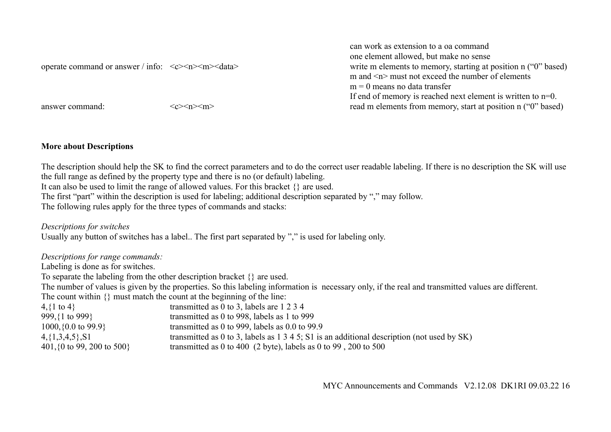|                                                                                                 |                                                         | can work as extension to a oa command                          |
|-------------------------------------------------------------------------------------------------|---------------------------------------------------------|----------------------------------------------------------------|
|                                                                                                 |                                                         | one element allowed, but make no sense                         |
| operate command or answer / info: $\langle c \rangle \langle n \rangle \langle m \rangle$ data> |                                                         | write m elements to memory, starting at position n ("0" based) |
|                                                                                                 |                                                         | m and $\leq n$ must not exceed the number of elements          |
|                                                                                                 |                                                         | $m = 0$ means no data transfer                                 |
|                                                                                                 |                                                         | If end of memory is reached next element is written to $n=0$ . |
| answer command:                                                                                 | $\langle c \rangle \langle n \rangle \langle m \rangle$ | read m elements from memory, start at position n ("0" based)   |

#### **More about Descriptions**

The description should help the SK to find the correct parameters and to do the correct user readable labeling. If there is no description the SK will use the full range as defined by the property type and there is no (or default) labeling. It can also be used to limit the range of allowed values. For this bracket {} are used. The first "part" within the description is used for labeling; additional description separated by "," may follow. The following rules apply for the three types of commands and stacks:

*Descriptions for switches* Usually any button of switches has a label.. The first part separated by "," is used for labeling only.

*Descriptions for range commands:*

Labeling is done as for switches.

To separate the labeling from the other description bracket {} are used.

The number of values is given by the properties. So this labeling information is necessary only, if the real and transmitted values are different. The count within  $\{\}$  must match the count at the beginning of the line:

| $4, \{1 \text{ to } 4\}$                        | transmitted as 0 to 3, labels are $1\ 2\ 3\ 4$                                             |
|-------------------------------------------------|--------------------------------------------------------------------------------------------|
| 999, { $1$ to 999}                              | transmitted as 0 to 998, labels as 1 to 999                                                |
| $1000,\{0.0\}$ to 99.9                          | transmitted as 0 to 999, labels as $0.0$ to 99.9                                           |
| $4,\{1,3,4,5\},S1$                              | transmitted as 0 to 3, labels as 1 3 4 5; S1 is an additional description (not used by SK) |
| $401,\{0 \text{ to } 99, 200 \text{ to } 500\}$ | transmitted as 0 to 400 (2 byte), labels as 0 to 99, 200 to 500                            |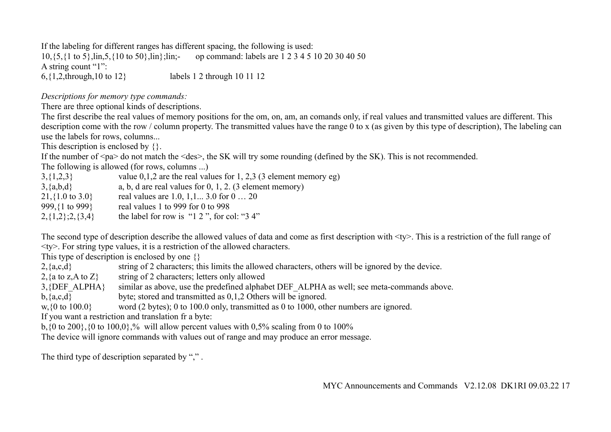If the labeling for different ranges has different spacing, the following is used: 10,{5,{1 to 5},lin,5,{10 to 50},lin};lin;- op command: labels are 1 2 3 4 5 10 20 30 40 50 A string count "1": 6,{1,2,through,10 to 12} labels 1 2 through 10 11 12

*Descriptions for memory type commands:*

There are three optional kinds of descriptions.

The first describe the real values of memory positions for the om, on, am, an comands only, if real values and transmitted values are different. This description come with the row / column property. The transmitted values have the range 0 to x (as given by this type of description), The labeling can use the labels for rows, columns...

This description is enclosed by  $\{\}$ .

If the number of  $\langle pa \rangle$  do not match the  $\langle des \rangle$ , the SK will try some rounding (defined by the SK). This is not recommended.

The following is allowed (for rows, columns ...)

| $3,\{1,2,3\}$                | value $0,1,2$ are the real values for 1, 2,3 (3 element memory eg) |
|------------------------------|--------------------------------------------------------------------|
| $3, \{a,b,d\}$               | a, b, d are real values for $0, 1, 2$ . (3 element memory)         |
| $21,\{1.0 \text{ to } 3.0\}$ | real values are 1.0, $1,1$ 3.0 for $0$ 20                          |
| 999, {1 to 999}              | real values 1 to 999 for 0 to 998                                  |
| $2,\{1,2\};2,\{3,4\}$        | the label for row is " $1 2$ ", for col: " $3 4$ "                 |

The second type of description describe the allowed values of data and come as first description with  $\langle tv \rangle$ . This is a restriction of the full range of  $\langle$ ty>. For string type values, it is a restriction of the allowed characters.

This type of description is enclosed by one  $\{\}$ 

2,{a,c,d} string of 2 characters; this limits the allowed characters, others will be ignored by the device.

2,  $\{a \text{ to } z, A \text{ to } Z\}$  string of 2 characters; letters only allowed

3, {DEF\_ALPHA} similar as above, use the predefined alphabet DEF\_ALPHA as well; see meta-commands above.

 $b, \{a, c, d\}$  byte; stored and transmitted as  $0, 1, 2$  Others will be ignored.

w,  $\{0 \text{ to } 100.0\}$  word (2 bytes); 0 to 100.0 only, transmitted as 0 to 1000, other numbers are ignored.

If you want a restriction and translation fr a byte:

b,  $\{0 \text{ to } 200\}$ ,  $\{0 \text{ to } 100, 0\}$ ,% will allow percent values with 0,5% scaling from 0 to 100%

The device will ignore commands with values out of range and may produce an error message.

The third type of description separated by ",".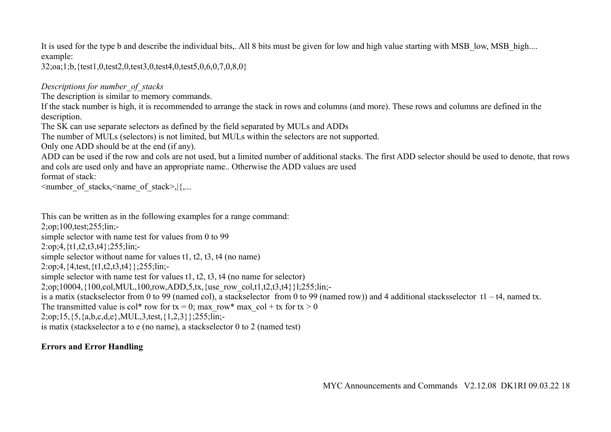It is used for the type b and describe the individual bits,. All 8 bits must be given for low and high value starting with MSB\_low, MSB\_high.... example:

32;oa;1;b,{test1,0,test2,0,test3,0,test4,0,test5,0,6,0,7,0,8,0}

*Descriptions for number\_of\_stacks*

The description is similar to memory commands.

If the stack number is high, it is recommended to arrange the stack in rows and columns (and more). These rows and columns are defined in the description.

The SK can use separate selectors as defined by the field separated by MULs and ADDs

The number of MULs (selectors) is not limited, but MULs within the selectors are not supported.

Only one ADD should be at the end (if any).

ADD can be used if the row and cols are not used, but a limited number of additional stacks. The first ADD selector should be used to denote, that rows and cols are used only and have an appropriate name.. Otherwise the ADD values are used

format of stack:

 $\leq$ number of stacks, $\leq$ name of stack $>$ ,|{,...

This can be written as in the following examples for a range command: 2;op;100,test;255;lin; simple selector with name test for values from 0 to 99 2:op;4,{t1,t2,t3,t4};255;lin; simple selector without name for values t1, t2, t3, t4 (no name) 2:op;4,{4,test,{t1,t2,t3,t4}};255;lin; simple selector with name test for values t1, t2, t3, t4 (no name for selector) 2;op;10004,{100,col,MUL,100,row,ADD,5,tx,{use\_row\_col,t1,t2,t3,t4}}l;255;lin; is a matix (stackselector from 0 to 99 (named col), a stackselector from 0 to 99 (named row)) and 4 additional stacksselector  $t_1 - t_4$ , named tx. The transmitted value is col\* row for tx = 0; max\_row\* max\_col + tx for tx > 0 2;op;15,{5,{a,b,c,d,e},MUL,3,test,{1,2,3}};255;lin; is matix (stackselector a to e (no name), a stackselector 0 to 2 (named test)

# **Errors and Error Handling**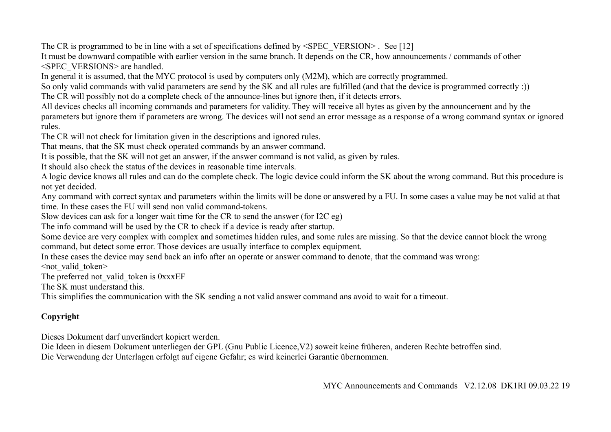The CR is programmed to be in line with a set of specifications defined by  $\leq$ SPEC\_VERSION>. See [12]

It must be downward compatible with earlier version in the same branch. It depends on the CR, how announcements / commands of other <SPEC\_VERSIONS> are handled.

In general it is assumed, that the MYC protocol is used by computers only (M2M), which are correctly programmed.

So only valid commands with valid parameters are send by the SK and all rules are fulfilled (and that the device is programmed correctly :))

The CR will possibly not do a complete check of the announce-lines but ignore then, if it detects errors.

All devices checks all incoming commands and parameters for validity. They will receive all bytes as given by the announcement and by the parameters but ignore them if parameters are wrong. The devices will not send an error message as a response of a wrong command syntax or ignored rules.

The CR will not check for limitation given in the descriptions and ignored rules.

That means, that the SK must check operated commands by an answer command.

It is possible, that the SK will not get an answer, if the answer command is not valid, as given by rules.

It should also check the status of the devices in reasonable time intervals.

A logic device knows all rules and can do the complete check. The logic device could inform the SK about the wrong command. But this procedure is not yet decided.

Any command with correct syntax and parameters within the limits will be done or answered by a FU. In some cases a value may be not valid at that time. In these cases the FU will send non valid command-tokens.

Slow devices can ask for a longer wait time for the CR to send the answer (for I2C eg)

The info command will be used by the CR to check if a device is ready after startup.

Some device are very complex with complex and sometimes hidden rules, and some rules are missing. So that the device cannot block the wrong command, but detect some error. Those devices are usually interface to complex equipment.

In these cases the device may send back an info after an operate or answer command to denote, that the command was wrong:

 $\leq$ not valid token $>$ 

The preferred not valid token is 0xxxEF

The SK must understand this.

This simplifies the communication with the SK sending a not valid answer command ans avoid to wait for a timeout.

## **Copyright**

Dieses Dokument darf unverändert kopiert werden.

Die Ideen in diesem Dokument unterliegen der GPL (Gnu Public Licence,V2) soweit keine früheren, anderen Rechte betroffen sind. Die Verwendung der Unterlagen erfolgt auf eigene Gefahr; es wird keinerlei Garantie übernommen.